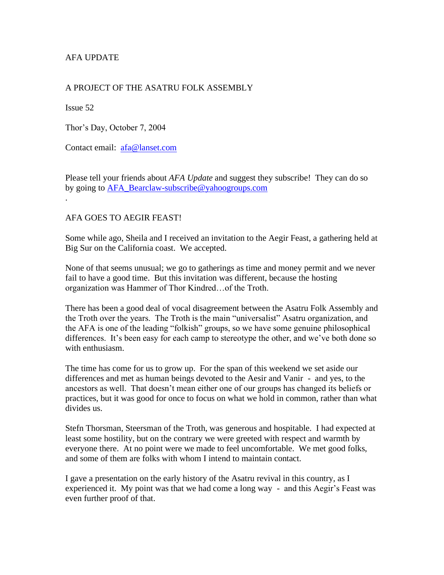## AFA UPDATE

### A PROJECT OF THE ASATRU FOLK ASSEMBLY

Issue 52

Thor's Day, October 7, 2004

Contact email: [afa@lanset.com](mailto:afa@lanset.com)

Please tell your friends about *AFA Update* and suggest they subscribe! They can do so by going to [AFA\\_Bearclaw-subscribe@yahoogroups.com](mailto:AFA_Bearclaw-subscribe@yahoogroups.com) .

#### AFA GOES TO AEGIR FEAST!

Some while ago, Sheila and I received an invitation to the Aegir Feast, a gathering held at Big Sur on the California coast. We accepted.

None of that seems unusual; we go to gatherings as time and money permit and we never fail to have a good time. But this invitation was different, because the hosting organization was Hammer of Thor Kindred…of the Troth.

There has been a good deal of vocal disagreement between the Asatru Folk Assembly and the Troth over the years. The Troth is the main "universalist" Asatru organization, and the AFA is one of the leading "folkish" groups, so we have some genuine philosophical differences. It's been easy for each camp to stereotype the other, and we've both done so with enthusiasm.

The time has come for us to grow up. For the span of this weekend we set aside our differences and met as human beings devoted to the Aesir and Vanir - and yes, to the ancestors as well. That doesn't mean either one of our groups has changed its beliefs or practices, but it was good for once to focus on what we hold in common, rather than what divides us.

Stefn Thorsman, Steersman of the Troth, was generous and hospitable. I had expected at least some hostility, but on the contrary we were greeted with respect and warmth by everyone there. At no point were we made to feel uncomfortable. We met good folks, and some of them are folks with whom I intend to maintain contact.

I gave a presentation on the early history of the Asatru revival in this country, as I experienced it. My point was that we had come a long way - and this Aegir's Feast was even further proof of that.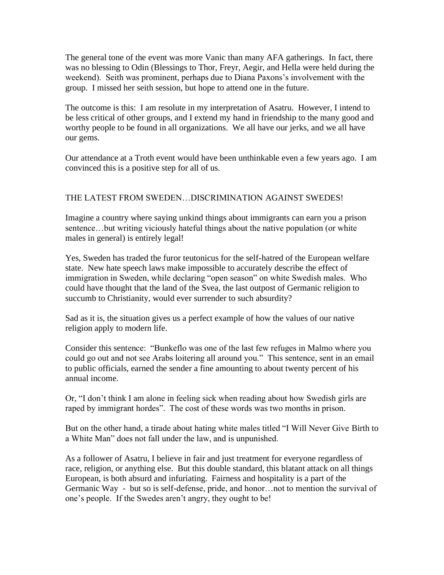The general tone of the event was more Vanic than many AFA gatherings. In fact, there was no blessing to Odin (Blessings to Thor, Freyr, Aegir, and Hella were held during the weekend). Seith was prominent, perhaps due to Diana Paxons's involvement with the group. I missed her seith session, but hope to attend one in the future.

The outcome is this: I am resolute in my interpretation of Asatru. However, I intend to be less critical of other groups, and I extend my hand in friendship to the many good and worthy people to be found in all organizations. We all have our jerks, and we all have our gems.

Our attendance at a Troth event would have been unthinkable even a few years ago. I am convinced this is a positive step for all of us.

# THE LATEST FROM SWEDEN…DISCRIMINATION AGAINST SWEDES!

Imagine a country where saying unkind things about immigrants can earn you a prison sentence…but writing viciously hateful things about the native population (or white males in general) is entirely legal!

Yes, Sweden has traded the furor teutonicus for the self-hatred of the European welfare state. New hate speech laws make impossible to accurately describe the effect of immigration in Sweden, while declaring "open season" on white Swedish males. Who could have thought that the land of the Svea, the last outpost of Germanic religion to succumb to Christianity, would ever surrender to such absurdity?

Sad as it is, the situation gives us a perfect example of how the values of our native religion apply to modern life.

Consider this sentence: "Bunkeflo was one of the last few refuges in Malmo where you could go out and not see Arabs loitering all around you." This sentence, sent in an email to public officials, earned the sender a fine amounting to about twenty percent of his annual income.

Or, "I don't think I am alone in feeling sick when reading about how Swedish girls are raped by immigrant hordes". The cost of these words was two months in prison.

But on the other hand, a tirade about hating white males titled "I Will Never Give Birth to a White Man" does not fall under the law, and is unpunished.

As a follower of Asatru, I believe in fair and just treatment for everyone regardless of race, religion, or anything else. But this double standard, this blatant attack on all things European, is both absurd and infuriating. Fairness and hospitality is a part of the Germanic Way - but so is self-defense, pride, and honor…not to mention the survival of one's people. If the Swedes aren't angry, they ought to be!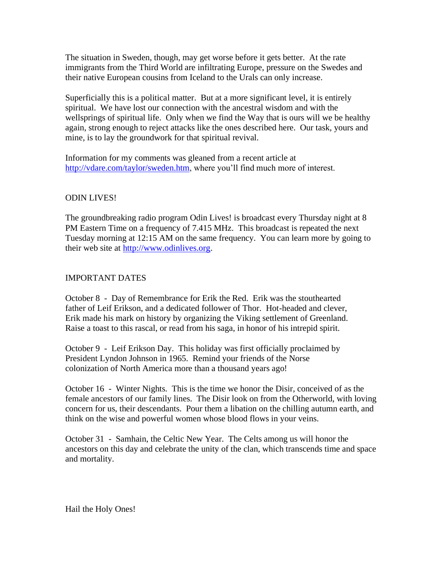The situation in Sweden, though, may get worse before it gets better. At the rate immigrants from the Third World are infiltrating Europe, pressure on the Swedes and their native European cousins from Iceland to the Urals can only increase.

Superficially this is a political matter. But at a more significant level, it is entirely spiritual. We have lost our connection with the ancestral wisdom and with the wellsprings of spiritual life. Only when we find the Way that is ours will we be healthy again, strong enough to reject attacks like the ones described here. Our task, yours and mine, is to lay the groundwork for that spiritual revival.

Information for my comments was gleaned from a recent article at [http://vdare.com/taylor/sweden.htm,](http://vdare.com/taylor/sweden.htm) where you'll find much more of interest.

### ODIN LIVES!

The groundbreaking radio program Odin Lives! is broadcast every Thursday night at 8 PM Eastern Time on a frequency of 7.415 MHz. This broadcast is repeated the next Tuesday morning at 12:15 AM on the same frequency. You can learn more by going to their web site at [http://www.odinlives.org.](http://www.odinlives.org/)

### IMPORTANT DATES

October 8 - Day of Remembrance for Erik the Red. Erik was the stouthearted father of Leif Erikson, and a dedicated follower of Thor. Hot-headed and clever, Erik made his mark on history by organizing the Viking settlement of Greenland. Raise a toast to this rascal, or read from his saga, in honor of his intrepid spirit.

October 9 - Leif Erikson Day. This holiday was first officially proclaimed by President Lyndon Johnson in 1965. Remind your friends of the Norse colonization of North America more than a thousand years ago!

October 16 - Winter Nights. This is the time we honor the Disir, conceived of as the female ancestors of our family lines. The Disir look on from the Otherworld, with loving concern for us, their descendants. Pour them a libation on the chilling autumn earth, and think on the wise and powerful women whose blood flows in your veins.

October 31 - Samhain, the Celtic New Year. The Celts among us will honor the ancestors on this day and celebrate the unity of the clan, which transcends time and space and mortality.

Hail the Holy Ones!